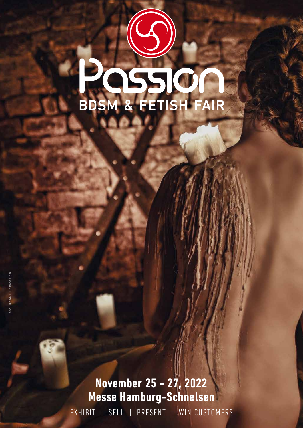## **POSSES**

**November 25 - 27, 2022 Messe Hamburg-Schnelsen** EXHIBIT | SELL | PRESENT | WIN CUSTOMERS